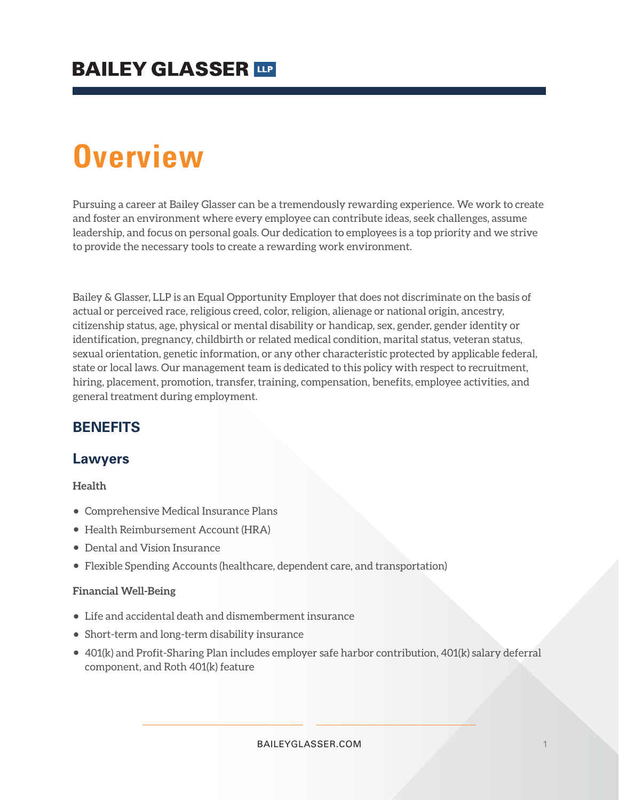# **Overview**

Pursuing a career at Bailey Glasser can be a tremendously rewarding experience. We work to create and foster an environment where every employee can contribute ideas, seek challenges, assume leadership, and focus on personal goals. Our dedication to employees is a top priority and we strive to provide the necessary tools to create a rewarding work environment.

Bailey & Glasser, LLP is an Equal Opportunity Employer that does not discriminate on the basis of actual or perceived race, religious creed, color, religion, alienage or national origin, ancestry, citizenship status, age, physical or mental disability or handicap, sex, gender, gender identity or identification, pregnancy, childbirth or related medical condition, marital status, veteran status, sexual orientation, genetic information, or any other characteristic protected by applicable federal, state or local laws. Our management team is dedicated to this policy with respect to recruitment, hiring, placement, promotion, transfer, training, compensation, benefits, employee activities, and general treatment during employment.

### **BENEFITS**

### **Lawyers**

#### **Health**

- Comprehensive Medical Insurance Plans
- Health Reimbursement Account (HRA)
- Dental and Vision Insurance
- Flexible Spending Accounts (healthcare, dependent care, and transportation)

#### **Financial Well-Being**

- Life and accidental death and dismemberment insurance
- Short-term and long-term disability insurance
- 401(k) and Profit-Sharing Plan includes employer safe harbor contribution, 401(k) salary deferral component, and Roth 401(k) feature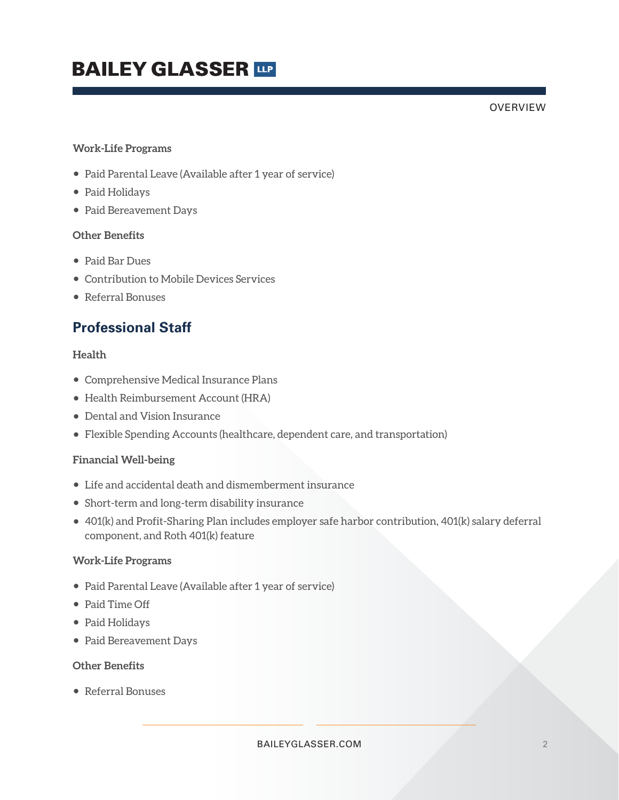# **BAILEY GLASSER THE**

#### OVERVIEW

#### **Work-Life Programs**

- Paid Parental Leave (Available after 1 year of service)
- Paid Holidays
- Paid Bereavement Days

#### **Other Benefits**

- Paid Bar Dues
- Contribution to Mobile Devices Services
- Referral Bonuses

## **Professional Staff**

#### **Health**

- Comprehensive Medical Insurance Plans
- Health Reimbursement Account (HRA)
- Dental and Vision Insurance
- Flexible Spending Accounts (healthcare, dependent care, and transportation)

#### **Financial Well-being**

- Life and accidental death and dismemberment insurance
- Short-term and long-term disability insurance
- 401(k) and Profit-Sharing Plan includes employer safe harbor contribution, 401(k) salary deferral component, and Roth 401(k) feature

#### **Work-Life Programs**

- Paid Parental Leave (Available after 1 year of service)
- Paid Time Off
- Paid Holidays
- Paid Bereavement Days

#### **Other Benefits**

● Referral Bonuses